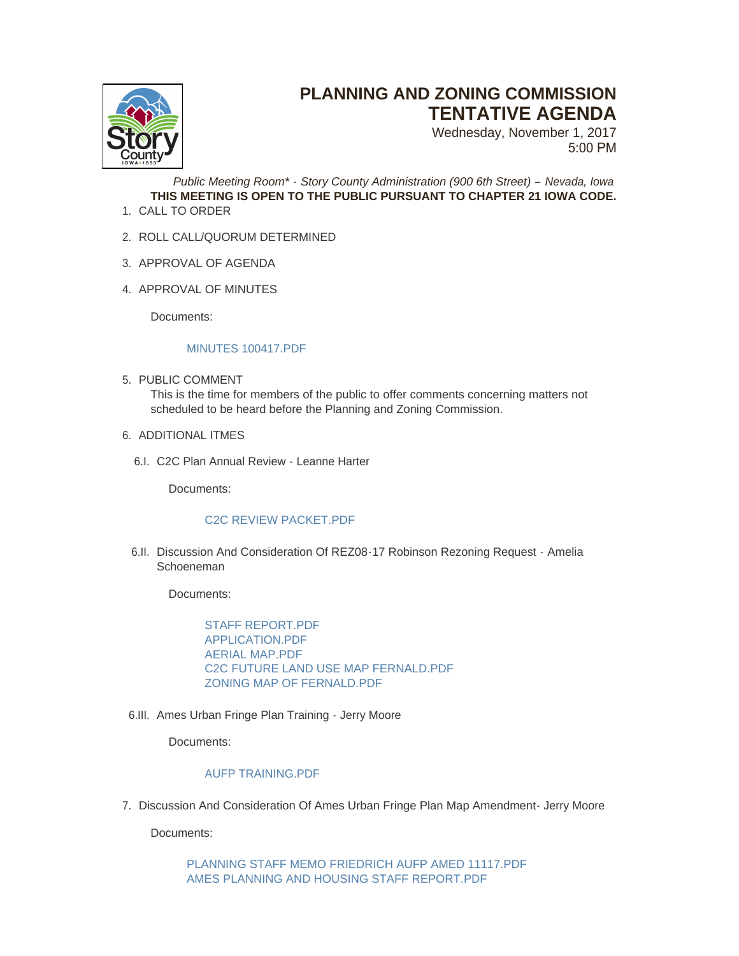

# **PLANNING AND ZONING COMMISSION TENTATIVE AGENDA**

Wednesday, November 1, 2017 5:00 PM

*Public Meeting Room\* - Story County Administration (900 6th Street) – Nevada, Iowa* **THIS MEETING IS OPEN TO THE PUBLIC PURSUANT TO CHAPTER 21 IOWA CODE.**

- 1. CALL TO ORDER
- 2. ROLL CALL/QUORUM DETERMINED
- 3. APPROVAL OF AGENDA
- 4. APPROVAL OF MINUTES

Documents:

## MINUTES 100417 PDF

- 5. PUBLIC COMMENT This is the time for members of the public to offer comments concerning matters not scheduled to be heard before the Planning and Zoning Commission.
- 6. ADDITIONAL ITMES
	- C2C Plan Annual Review Leanne Harter 6.I.

Documents:

## [C2C REVIEW PACKET.PDF](http://www.storycountyiowa.gov/AgendaCenter/ViewFile/Item/10557?fileID=7473)

6.II. Discussion And Consideration Of REZ08-17 Robinson Rezoning Request - Amelia **Schoeneman** 

Documents:

[STAFF REPORT.PDF](http://www.storycountyiowa.gov/AgendaCenter/ViewFile/Item/10560?fileID=7474) [APPLICATION.PDF](http://www.storycountyiowa.gov/AgendaCenter/ViewFile/Item/10560?fileID=7475) [AERIAL MAP.PDF](http://www.storycountyiowa.gov/AgendaCenter/ViewFile/Item/10560?fileID=7476) [C2C FUTURE LAND USE MAP FERNALD.PDF](http://www.storycountyiowa.gov/AgendaCenter/ViewFile/Item/10560?fileID=7477) [ZONING MAP OF FERNALD.PDF](http://www.storycountyiowa.gov/AgendaCenter/ViewFile/Item/10560?fileID=7478)

6.III. Ames Urban Fringe Plan Training - Jerry Moore

Documents:

## [AUFP TRAINING.PDF](http://www.storycountyiowa.gov/AgendaCenter/ViewFile/Item/10561?fileID=7479)

7. Discussion And Consideration Of Ames Urban Fringe Plan Map Amendment- Jerry Moore

Documents:

[PLANNING STAFF MEMO FRIEDRICH AUFP AMED 11117.PDF](http://www.storycountyiowa.gov/AgendaCenter/ViewFile/Item/10562?fileID=7482) [AMES PLANNING AND HOUSING STAFF REPORT.PDF](http://www.storycountyiowa.gov/AgendaCenter/ViewFile/Item/10562?fileID=7483)